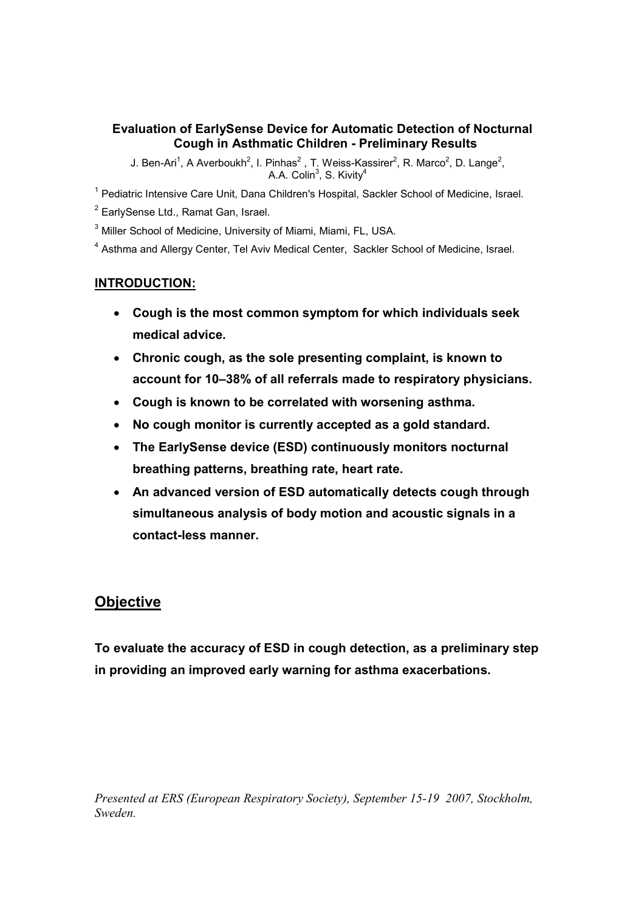#### Evaluation of EarlySense Device for Automatic Detection of Nocturnal Cough in Asthmatic Children - Preliminary Results

J. Ben-Ari<sup>1</sup>, A Averboukh<sup>2</sup>, I. Pinhas<sup>2</sup>, T. Weiss-Kassirer<sup>2</sup>, R. Marco<sup>2</sup>, D. Lange<sup>2</sup>, A.A. Colin $^3$ , S. Kivity $^4$ 

<sup>1</sup> Pediatric Intensive Care Unit, Dana Children's Hospital, Sackler School of Medicine, Israel.

<sup>2</sup> EarlySense Ltd., Ramat Gan, Israel.

<sup>3</sup> Miller School of Medicine, University of Miami, Miami, FL, USA.

<sup>4</sup> Asthma and Allergy Center, Tel Aviv Medical Center, Sackler School of Medicine, Israel.

#### INTRODUCTION:

- Cough is the most common symptom for which individuals seek medical advice.
- Chronic cough, as the sole presenting complaint, is known to account for 10–38% of all referrals made to respiratory physicians.
- Cough is known to be correlated with worsening asthma.
- No cough monitor is currently accepted as a gold standard.
- The EarlySense device (ESD) continuously monitors nocturnal breathing patterns, breathing rate, heart rate.
- An advanced version of ESD automatically detects cough through simultaneous analysis of body motion and acoustic signals in a contact-less manner.

## **Objective**

To evaluate the accuracy of ESD in cough detection, as a preliminary step in providing an improved early warning for asthma exacerbations.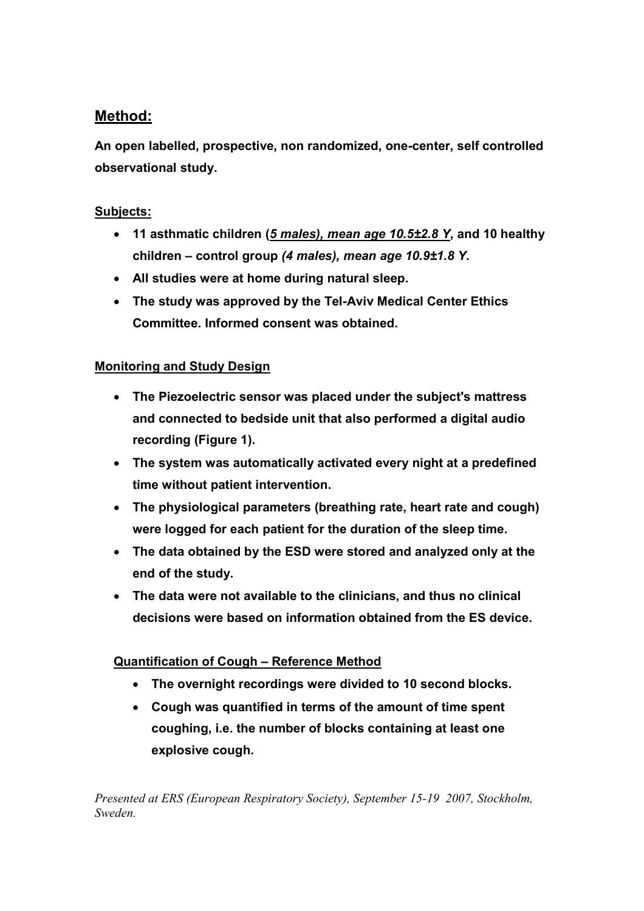## Method:

An open labelled, prospective, non randomized, one-center, self controlled observational study.

### Subjects:

- 11 asthmatic children (5 males), mean age 10.5±2.8 Y, and 10 healthy children – control group (4 males), mean age 10.9±1.8 Y.
- All studies were at home during natural sleep.
- The study was approved by the Tel-Aviv Medical Center Ethics Committee. Informed consent was obtained.

### Monitoring and Study Design

- The Piezoelectric sensor was placed under the subject's mattress and connected to bedside unit that also performed a digital audio recording (Figure 1).
- The system was automatically activated every night at a predefined time without patient intervention.
- The physiological parameters (breathing rate, heart rate and cough) were logged for each patient for the duration of the sleep time.
- The data obtained by the ESD were stored and analyzed only at the end of the study.
- The data were not available to the clinicians, and thus no clinical decisions were based on information obtained from the ES device.

#### Quantification of Cough – Reference Method

- The overnight recordings were divided to 10 second blocks.
- Cough was quantified in terms of the amount of time spent coughing, i.e. the number of blocks containing at least one explosive cough.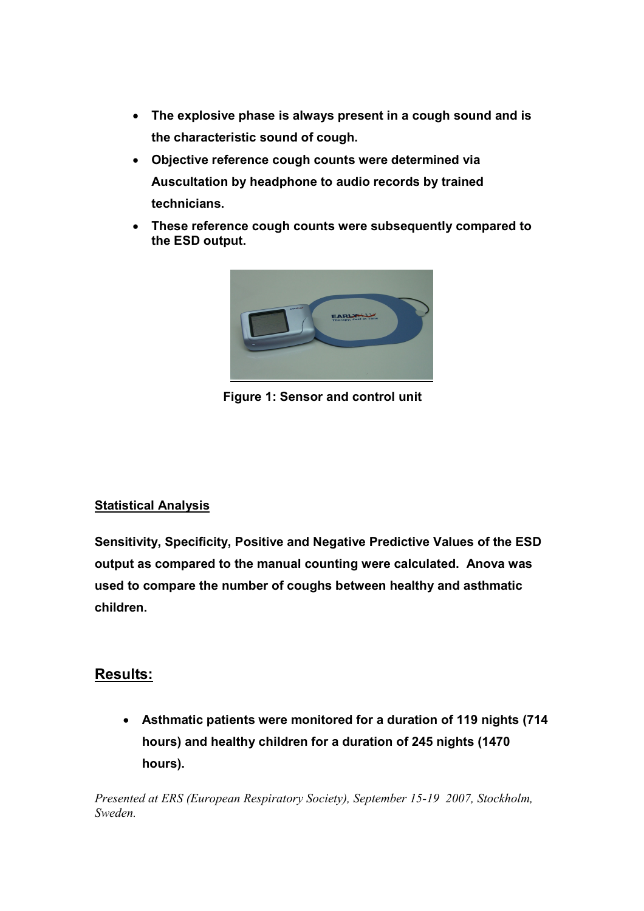- The explosive phase is always present in a cough sound and is the characteristic sound of cough.
- Objective reference cough counts were determined via Auscultation by headphone to audio records by trained technicians.
- These reference cough counts were subsequently compared to the ESD output.



Figure 1: Sensor and control unit

## Statistical Analysis

Sensitivity, Specificity, Positive and Negative Predictive Values of the ESD output as compared to the manual counting were calculated. Anova was used to compare the number of coughs between healthy and asthmatic children.

## Results:

• Asthmatic patients were monitored for a duration of 119 nights (714 hours) and healthy children for a duration of 245 nights (1470 hours).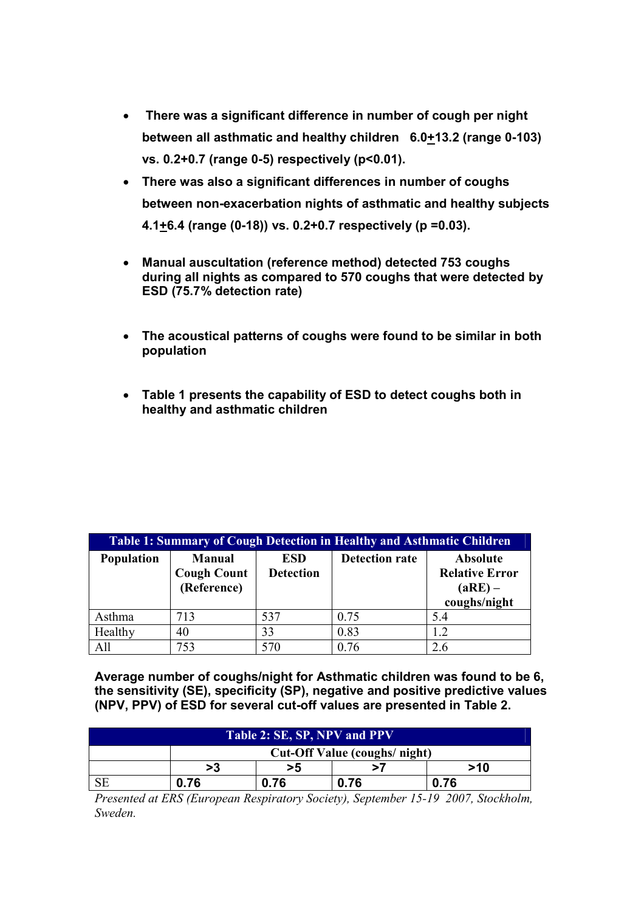- There was a significant difference in number of cough per night between all asthmatic and healthy children 6.0+13.2 (range 0-103) vs. 0.2+0.7 (range 0-5) respectively (p<0.01).
- There was also a significant differences in number of coughs between non-exacerbation nights of asthmatic and healthy subjects 4.1 $\pm$ 6.4 (range (0-18)) vs. 0.2 $\pm$ 0.7 respectively (p =0.03).
- Manual auscultation (reference method) detected 753 coughs during all nights as compared to 570 coughs that were detected by ESD (75.7% detection rate)
- The acoustical patterns of coughs were found to be similar in both population
- Table 1 presents the capability of ESD to detect coughs both in healthy and asthmatic children

| Table 1: Summary of Cough Detection in Healthy and Asthmatic Children |                                                    |                                |                       |                                                                |  |  |  |
|-----------------------------------------------------------------------|----------------------------------------------------|--------------------------------|-----------------------|----------------------------------------------------------------|--|--|--|
| Population                                                            | <b>Manual</b><br><b>Cough Count</b><br>(Reference) | <b>ESD</b><br><b>Detection</b> | <b>Detection rate</b> | Absolute<br><b>Relative Error</b><br>$(aRE)$ –<br>coughs/night |  |  |  |
| Asthma                                                                | 713                                                | 537                            | 0.75                  | 5.4                                                            |  |  |  |
| Healthy                                                               | 40                                                 | 33                             | 0.83                  | 1.2                                                            |  |  |  |
| All                                                                   | 753                                                | 570                            | 0.76                  | 26                                                             |  |  |  |

Average number of coughs/night for Asthmatic children was found to be 6, the sensitivity (SE), specificity (SP), negative and positive predictive values (NPV, PPV) of ESD for several cut-off values are presented in Table 2.

| Table 2: SE, SP, NPV and PPV |                               |      |      |      |  |  |  |
|------------------------------|-------------------------------|------|------|------|--|--|--|
|                              | Cut-Off Value (coughs/ night) |      |      |      |  |  |  |
|                              | >3                            | >5   |      | >10  |  |  |  |
|                              | 0.76                          | 0.76 | 0.76 | 0.76 |  |  |  |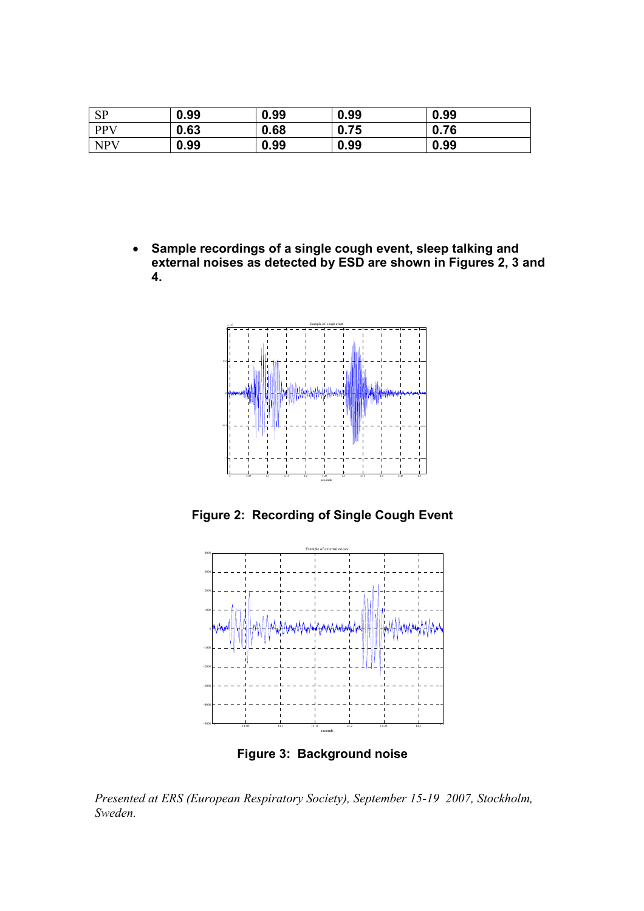| <b>SP</b>  | 0.99 | 0.99 | 0.99 | 0.99 |
|------------|------|------|------|------|
| <b>PPV</b> | 0.63 | 0.68 | 0.75 | 0.76 |
| <b>NPV</b> | 0.99 | 0.99 | 0.99 | 0.99 |

• Sample recordings of a single cough event, sleep talking and external noises as detected by ESD are shown in Figures 2, 3 and 4.



Figure 2: Recording of Single Cough Event



Figure 3: Background noise

Presented at ERS (European Respiratory Society), September 15-19 2007, Stockholm, Sweden.